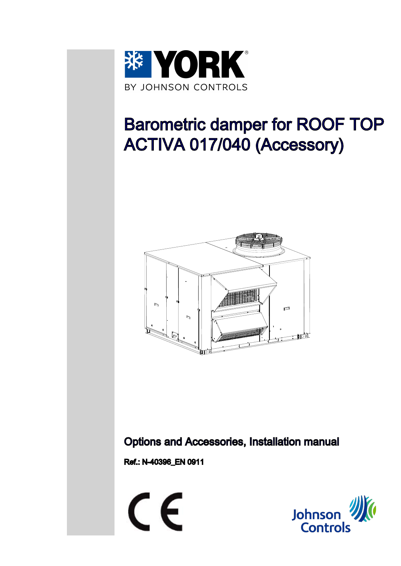

# Barometric damper for ROOF TOP ACTIVA 017/040 (Accessory)



#### Options and Accessories, Installation manual

Ref.: N-40396\_EN 0911



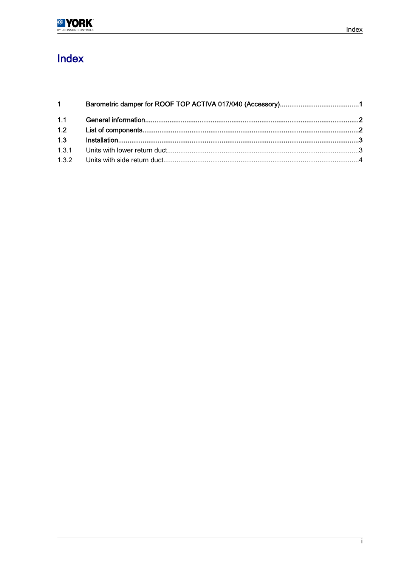| $1 \quad \blacksquare$ |  |  |  |
|------------------------|--|--|--|
| 1.1                    |  |  |  |
| 1.2                    |  |  |  |
| 1.3                    |  |  |  |
| 1.3.1                  |  |  |  |
|                        |  |  |  |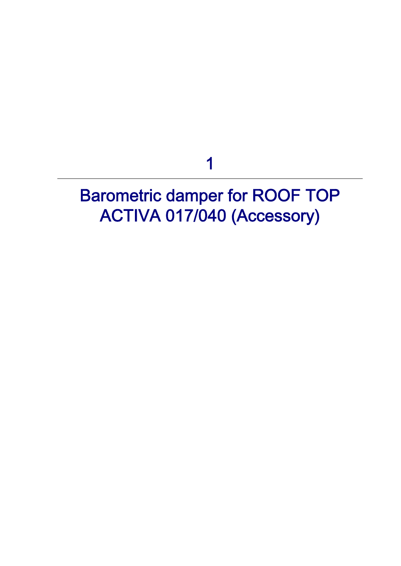1

# <span id="page-2-0"></span>Barometric damper for ROOF TOP ACTIVA 017/040 (Accessory)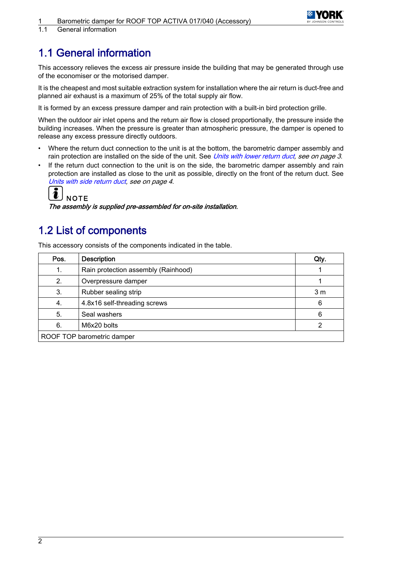

<span id="page-3-0"></span>1.1 General information

#### 1.1 General information

This accessory relieves the excess air pressure inside the building that may be generated through use of the economiser or the motorised damper.

It is the cheapest and most suitable extraction system for installation where the air return is duct-free and planned air exhaust is a maximum of 25% of the total supply air flow.

It is formed by an excess pressure damper and rain protection with a built-in bird protection grille.

When the outdoor air inlet opens and the return air flow is closed proportionally, the pressure inside the building increases. When the pressure is greater than atmospheric pressure, the damper is opened to release any excess pressure directly outdoors.

- Where the return duct connection to the unit is at the bottom, the barometric damper assembly and rain protection are installed on the side of the unit. See [Units with lower return duct](#page-4-0), see on page 3.
- If the return duct connection to the unit is on the side, the barometric damper assembly and rain protection are installed as close to the unit as possible, directly on the front of the return duct. See [Units with side return duct](#page-5-0), see on page 4.



The assembly is supplied pre-assembled for on-site installation.

#### 1.2 List of components

This accessory consists of the components indicated in the table.

| Pos.                       | <b>Description</b>                  |                |  |  |  |
|----------------------------|-------------------------------------|----------------|--|--|--|
| 1.                         | Rain protection assembly (Rainhood) |                |  |  |  |
| 2.                         | Overpressure damper                 |                |  |  |  |
| 3.                         | Rubber sealing strip                | 3 <sub>m</sub> |  |  |  |
| 4.                         | 4.8x16 self-threading screws        | 6              |  |  |  |
| 5.                         | Seal washers                        |                |  |  |  |
| 6.                         | M6x20 bolts                         |                |  |  |  |
| ROOF TOP barometric damper |                                     |                |  |  |  |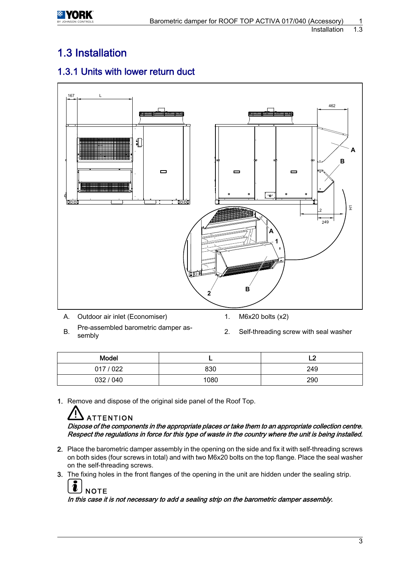### <span id="page-4-0"></span>1.3 Installation

#### 1.3.1 Units with lower return duct



- A. Outdoor air inlet (Economiser) 1. M6x20 bolts (x2)
- 
- B. Pre-assembled barometric damper as-<br>sembly
- 2. Self-threading screw with seal washer

| Model     |      | -<br>∽ |
|-----------|------|--------|
| 017 / 022 | 830  | 249    |
| 032 / 040 | 1080 | 290    |

1. Remove and dispose of the original side panel of the Roof Top.

## ATTENTION

Dispose of the components in the appropriate places or take them to an appropriate collection centre. Respect the regulations in force for this type of waste in the country where the unit is being installed.

- 2. Place the barometric damper assembly in the opening on the side and fix it with self-threading screws on both sides (four screws in total) and with two M6x20 bolts on the top flange. Place the seal washer on the self-threading screws.
- 3. The fixing holes in the front flanges of the opening in the unit are hidden under the sealing strip.

| $\left[\begin{matrix}\mathbf{1}\end{matrix}\right]_{\text{NOTE}}$                          |
|--------------------------------------------------------------------------------------------|
| In this case it is not necessary to add a sealing strip on the barometric damper assembly. |